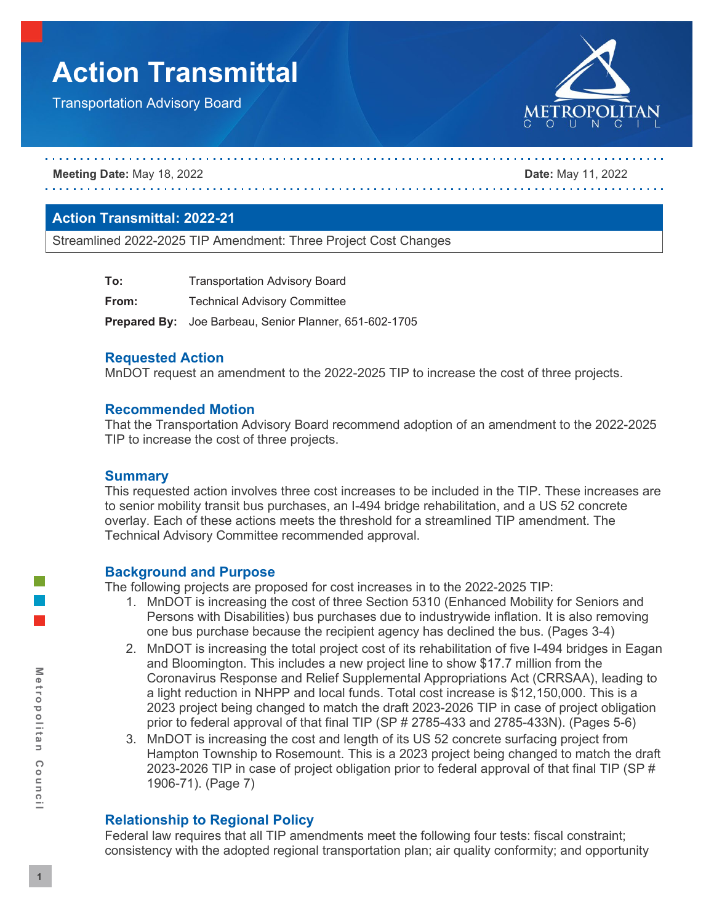# **Action Transmittal**

Transportation Advisory Board



**Meeting Date:** May 18, 2022 **Date:** May 11, 2022

# **Action Transmittal: 2022-21**

Streamlined 2022-2025 TIP Amendment: Three Project Cost Changes

| To:   | <b>Transportation Advisory Board</b>                          |
|-------|---------------------------------------------------------------|
| From: | <b>Technical Advisory Committee</b>                           |
|       | <b>Prepared By:</b> Joe Barbeau, Senior Planner, 651-602-1705 |

# **Requested Action**

MnDOT request an amendment to the 2022-2025 TIP to increase the cost of three projects.

#### **Recommended Motion**

That the Transportation Advisory Board recommend adoption of an amendment to the 2022-2025 TIP to increase the cost of three projects.

# **Summary**

This requested action involves three cost increases to be included in the TIP. These increases are to senior mobility transit bus purchases, an I-494 bridge rehabilitation, and a US 52 concrete overlay. Each of these actions meets the threshold for a streamlined TIP amendment. The Technical Advisory Committee recommended approval.

# **Background and Purpose**

The following projects are proposed for cost increases in to the 2022-2025 TIP:

- 1. MnDOT is increasing the cost of three Section 5310 (Enhanced Mobility for Seniors and Persons with Disabilities) bus purchases due to industrywide inflation. It is also removing one bus purchase because the recipient agency has declined the bus. (Pages 3-4)
- 2. MnDOT is increasing the total project cost of its rehabilitation of five I-494 bridges in Eagan and Bloomington. This includes a new project line to show \$17.7 million from the Coronavirus Response and Relief Supplemental Appropriations Act (CRRSAA), leading to a light reduction in NHPP and local funds. Total cost increase is \$12,150,000. This is a 2023 project being changed to match the draft 2023-2026 TIP in case of project obligation prior to federal approval of that final TIP (SP # 2785-433 and 2785-433N). (Pages 5-6)
- 3. MnDOT is increasing the cost and length of its US 52 concrete surfacing project from Hampton Township to Rosemount. This is a 2023 project being changed to match the draft 2023-2026 TIP in case of project obligation prior to federal approval of that final TIP (SP # 1906-71). (Page 7)

# **Relationship to Regional Policy**

Federal law requires that all TIP amendments meet the following four tests: fiscal constraint; consistency with the adopted regional transportation plan; air quality conformity; and opportunity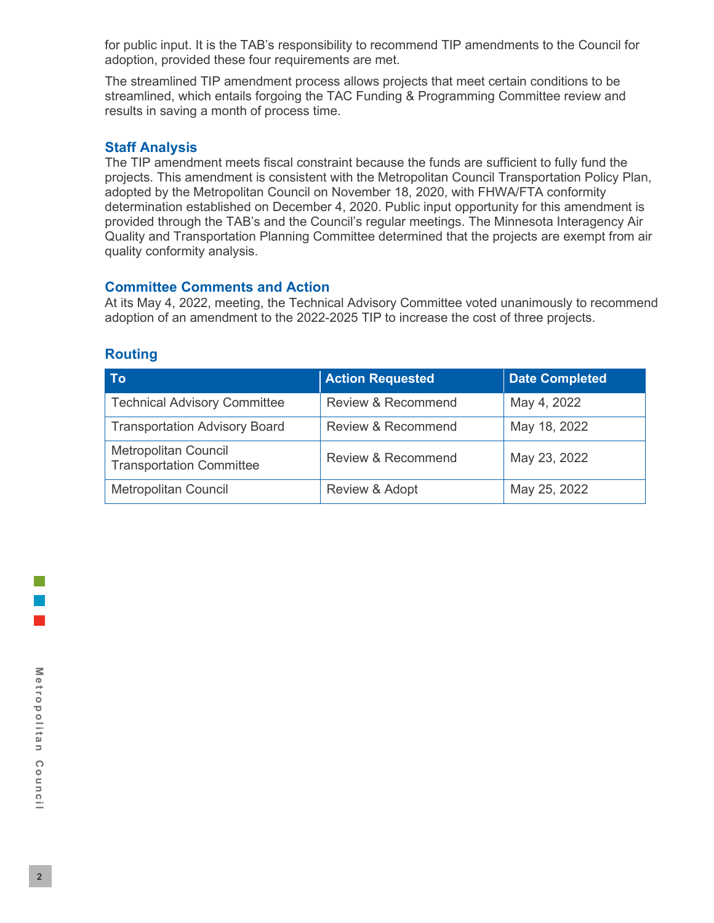for public input. It is the TAB's responsibility to recommend TIP amendments to the Council for adoption, provided these four requirements are met.

The streamlined TIP amendment process allows projects that meet certain conditions to be streamlined, which entails forgoing the TAC Funding & Programming Committee review and results in saving a month of process time.

# **Staff Analysis**

The TIP amendment meets fiscal constraint because the funds are sufficient to fully fund the projects. This amendment is consistent with the Metropolitan Council Transportation Policy Plan, adopted by the Metropolitan Council on November 18, 2020, with FHWA/FTA conformity determination established on December 4, 2020. Public input opportunity for this amendment is provided through the TAB's and the Council's regular meetings. The Minnesota Interagency Air Quality and Transportation Planning Committee determined that the projects are exempt from air quality conformity analysis.

# **Committee Comments and Action**

At its May 4, 2022, meeting, the Technical Advisory Committee voted unanimously to recommend adoption of an amendment to the 2022-2025 TIP to increase the cost of three projects.

# **Routing**

| <b>To</b>                                                      | <b>Action Requested</b>       | <b>Date Completed</b> |  |
|----------------------------------------------------------------|-------------------------------|-----------------------|--|
| <b>Technical Advisory Committee</b>                            | <b>Review &amp; Recommend</b> | May 4, 2022           |  |
| <b>Transportation Advisory Board</b>                           | <b>Review &amp; Recommend</b> | May 18, 2022          |  |
| <b>Metropolitan Council</b><br><b>Transportation Committee</b> | Review & Recommend            | May 23, 2022          |  |
| <b>Metropolitan Council</b>                                    | Review & Adopt                | May 25, 2022          |  |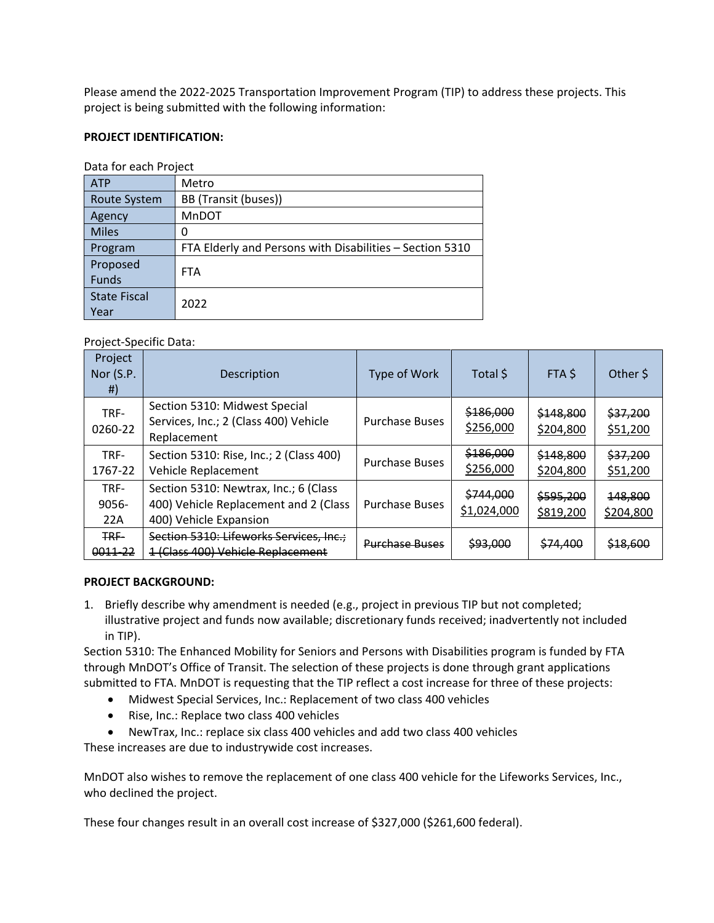Please amend the 2022-2025 Transportation Improvement Program (TIP) to address these projects. This project is being submitted with the following information:

#### **PROJECT IDENTIFICATION:**

| Data for each Project |                                                          |  |  |  |  |
|-----------------------|----------------------------------------------------------|--|--|--|--|
| <b>ATP</b>            | Metro                                                    |  |  |  |  |
| Route System          | BB (Transit (buses))                                     |  |  |  |  |
| Agency                | MnDOT                                                    |  |  |  |  |
| <b>Miles</b>          | O                                                        |  |  |  |  |
| Program               | FTA Elderly and Persons with Disabilities - Section 5310 |  |  |  |  |
| Proposed              | <b>FTA</b>                                               |  |  |  |  |
| <b>Funds</b>          |                                                          |  |  |  |  |
| <b>State Fiscal</b>   | 2022                                                     |  |  |  |  |
| Year                  |                                                          |  |  |  |  |

Data for each Project

#### Project-Specific Data:

| Project<br>Nor $(S.P.$<br># | Description                                                                                              | Type of Work          | Total \$                 | FTA \$                 | Other S              |
|-----------------------------|----------------------------------------------------------------------------------------------------------|-----------------------|--------------------------|------------------------|----------------------|
| TRF-<br>0260-22             | Section 5310: Midwest Special<br>Services, Inc.; 2 (Class 400) Vehicle<br>Replacement                    | <b>Purchase Buses</b> | \$186,000<br>\$256,000   | \$148,800<br>\$204,800 | \$37,200<br>\$51,200 |
| TRF-<br>1767-22             | Section 5310: Rise, Inc.; 2 (Class 400)<br>Vehicle Replacement                                           | <b>Purchase Buses</b> | \$186,000<br>\$256,000   | \$148,800<br>\$204,800 | \$37,200<br>\$51,200 |
| TRF-<br>$9056 -$<br>22A     | Section 5310: Newtrax, Inc.; 6 (Class<br>400) Vehicle Replacement and 2 (Class<br>400) Vehicle Expansion | <b>Purchase Buses</b> | \$744,000<br>\$1,024,000 | \$595,200<br>\$819,200 | 148,800<br>\$204,800 |
| <b>TRE-</b><br>0011-22      | Section 5310: Lifeworks Services, Inc.;<br>1 (Class 400) Vehicle Replacement                             | <b>Purchase Buses</b> | <del>\$93.000</del>      | \$74,400               | \$18,600             |

#### **PROJECT BACKGROUND:**

1. Briefly describe why amendment is needed (e.g., project in previous TIP but not completed; illustrative project and funds now available; discretionary funds received; inadvertently not included in TIP).

Section 5310: The Enhanced Mobility for Seniors and Persons with Disabilities program is funded by FTA through MnDOT's Office of Transit. The selection of these projects is done through grant applications submitted to FTA. MnDOT is requesting that the TIP reflect a cost increase for three of these projects:

- Midwest Special Services, Inc.: Replacement of two class 400 vehicles
- Rise, Inc.: Replace two class 400 vehicles
- NewTrax, Inc.: replace six class 400 vehicles and add two class 400 vehicles

These increases are due to industrywide cost increases.

MnDOT also wishes to remove the replacement of one class 400 vehicle for the Lifeworks Services, Inc., who declined the project.

These four changes result in an overall cost increase of \$327,000 (\$261,600 federal).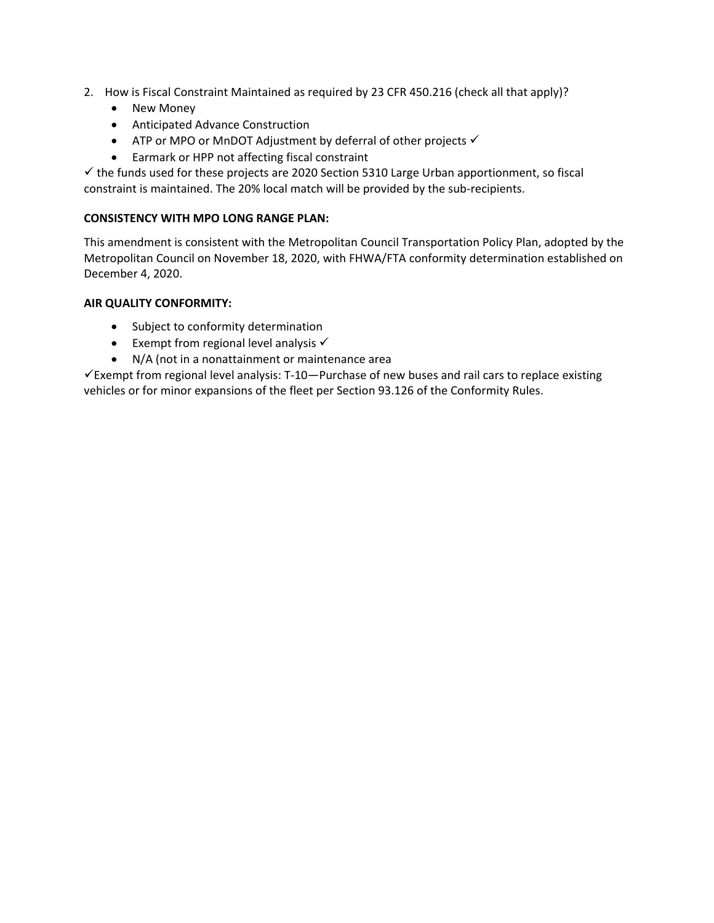- 2. How is Fiscal Constraint Maintained as required by 23 CFR 450.216 (check all that apply)?
	- New Money
	- Anticipated Advance Construction
	- ATP or MPO or MnDOT Adjustment by deferral of other projects  $\checkmark$
	- Earmark or HPP not affecting fiscal constraint

 $\checkmark$  the funds used for these projects are 2020 Section 5310 Large Urban apportionment, so fiscal constraint is maintained. The 20% local match will be provided by the sub-recipients.

#### **CONSISTENCY WITH MPO LONG RANGE PLAN:**

This amendment is consistent with the Metropolitan Council Transportation Policy Plan, adopted by the Metropolitan Council on November 18, 2020, with FHWA/FTA conformity determination established on December 4, 2020.

#### **AIR QUALITY CONFORMITY:**

- Subject to conformity determination
- Exempt from regional level analysis  $\checkmark$
- N/A (not in a nonattainment or maintenance area

 $\checkmark$  Exempt from regional level analysis: T-10—Purchase of new buses and rail cars to replace existing vehicles or for minor expansions of the fleet per Section 93.126 of the Conformity Rules.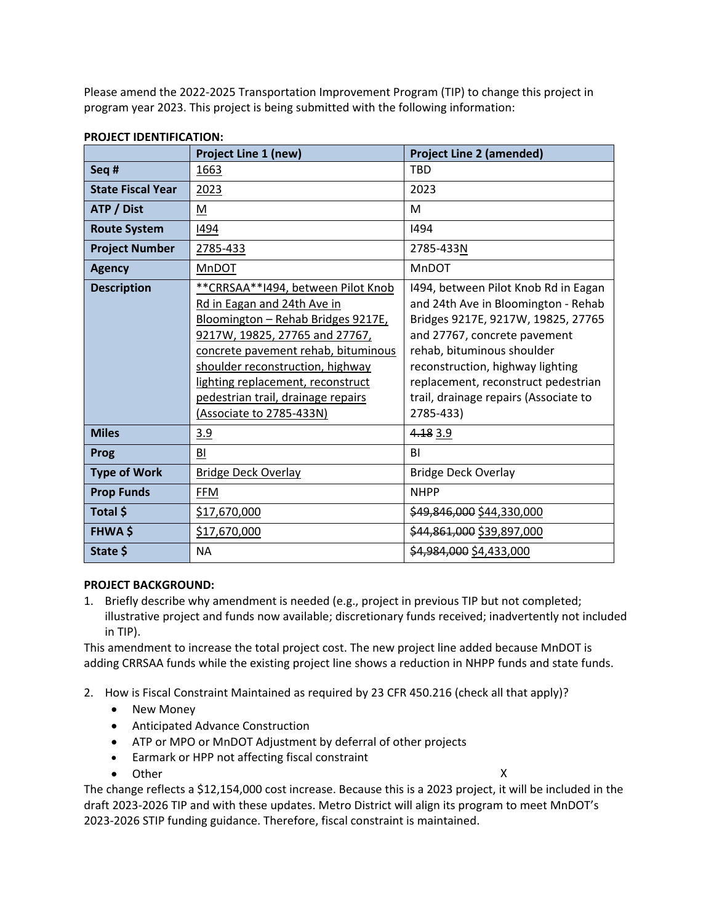Please amend the 2022-2025 Transportation Improvement Program (TIP) to change this project in program year 2023. This project is being submitted with the following information:

|                          | <b>Project Line 1 (new)</b>                                                                                                                                                                                                                                                                                                   | <b>Project Line 2 (amended)</b>                                                                                                                                                                                                                                                                                  |  |  |
|--------------------------|-------------------------------------------------------------------------------------------------------------------------------------------------------------------------------------------------------------------------------------------------------------------------------------------------------------------------------|------------------------------------------------------------------------------------------------------------------------------------------------------------------------------------------------------------------------------------------------------------------------------------------------------------------|--|--|
| Seq#                     | 1663                                                                                                                                                                                                                                                                                                                          | <b>TBD</b>                                                                                                                                                                                                                                                                                                       |  |  |
| <b>State Fiscal Year</b> | 2023                                                                                                                                                                                                                                                                                                                          | 2023                                                                                                                                                                                                                                                                                                             |  |  |
| ATP / Dist               | M                                                                                                                                                                                                                                                                                                                             | M                                                                                                                                                                                                                                                                                                                |  |  |
| <b>Route System</b>      | 1494                                                                                                                                                                                                                                                                                                                          | 1494                                                                                                                                                                                                                                                                                                             |  |  |
| <b>Project Number</b>    | 2785-433                                                                                                                                                                                                                                                                                                                      | 2785-433N                                                                                                                                                                                                                                                                                                        |  |  |
| <b>Agency</b>            | <b>MnDOT</b>                                                                                                                                                                                                                                                                                                                  | <b>MnDOT</b>                                                                                                                                                                                                                                                                                                     |  |  |
| <b>Description</b>       | ** CRRSAA** 1494, between Pilot Knob<br>Rd in Eagan and 24th Ave in<br>Bloomington - Rehab Bridges 9217E,<br>9217W, 19825, 27765 and 27767,<br>concrete pavement rehab, bituminous<br>shoulder reconstruction, highway<br>lighting replacement, reconstruct<br>pedestrian trail, drainage repairs<br>(Associate to 2785-433N) | 1494, between Pilot Knob Rd in Eagan<br>and 24th Ave in Bloomington - Rehab<br>Bridges 9217E, 9217W, 19825, 27765<br>and 27767, concrete pavement<br>rehab, bituminous shoulder<br>reconstruction, highway lighting<br>replacement, reconstruct pedestrian<br>trail, drainage repairs (Associate to<br>2785-433) |  |  |
| <b>Miles</b>             | 3.9                                                                                                                                                                                                                                                                                                                           | 4.18 3.9                                                                                                                                                                                                                                                                                                         |  |  |
| Prog                     | BI                                                                                                                                                                                                                                                                                                                            | BI                                                                                                                                                                                                                                                                                                               |  |  |
| <b>Type of Work</b>      | Bridge Deck Overlay                                                                                                                                                                                                                                                                                                           | <b>Bridge Deck Overlay</b>                                                                                                                                                                                                                                                                                       |  |  |
| <b>Prop Funds</b>        | <b>FFM</b>                                                                                                                                                                                                                                                                                                                    | <b>NHPP</b>                                                                                                                                                                                                                                                                                                      |  |  |
| Total \$                 | \$17,670,000                                                                                                                                                                                                                                                                                                                  | \$49,846,000 \$44,330,000                                                                                                                                                                                                                                                                                        |  |  |
| <b>FHWA \$</b>           | \$17,670,000                                                                                                                                                                                                                                                                                                                  | \$44,861,000 \$39,897,000                                                                                                                                                                                                                                                                                        |  |  |
| State \$                 | <b>NA</b>                                                                                                                                                                                                                                                                                                                     | \$4,984,000 \$4,433,000                                                                                                                                                                                                                                                                                          |  |  |

# **PROJECT IDENTIFICATION:**

# **PROJECT BACKGROUND:**

1. Briefly describe why amendment is needed (e.g., project in previous TIP but not completed; illustrative project and funds now available; discretionary funds received; inadvertently not included in TIP).

This amendment to increase the total project cost. The new project line added because MnDOT is adding CRRSAA funds while the existing project line shows a reduction in NHPP funds and state funds.

- 2. How is Fiscal Constraint Maintained as required by 23 CFR 450.216 (check all that apply)?
	- New Money
	- Anticipated Advance Construction
	- ATP or MPO or MnDOT Adjustment by deferral of other projects
	- Earmark or HPP not affecting fiscal constraint
	- Other X

The change reflects a \$12,154,000 cost increase. Because this is a 2023 project, it will be included in the draft 2023-2026 TIP and with these updates. Metro District will align its program to meet MnDOT's 2023-2026 STIP funding guidance. Therefore, fiscal constraint is maintained.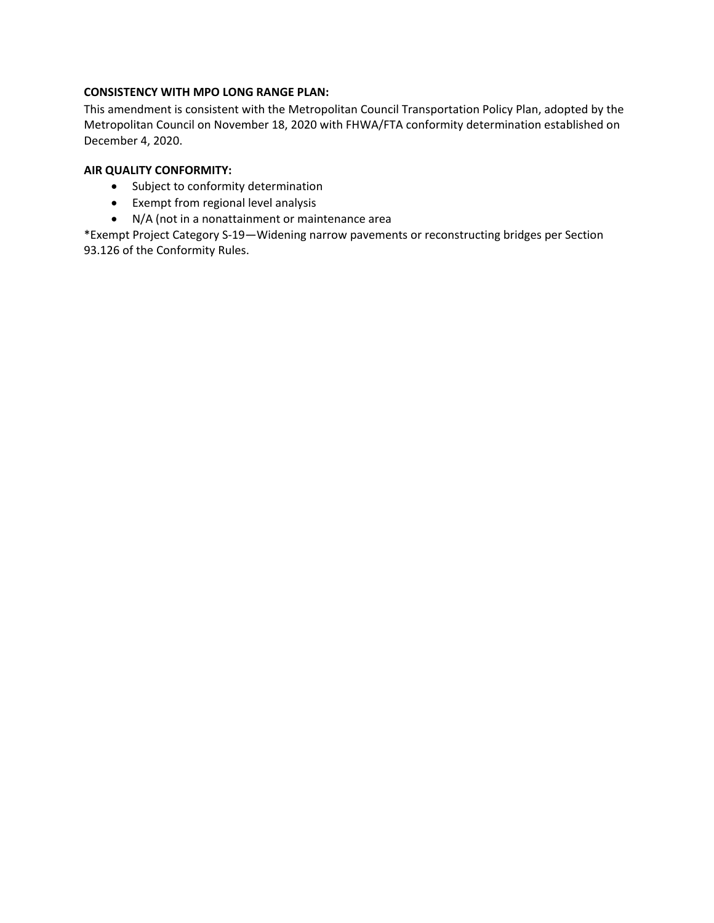#### **CONSISTENCY WITH MPO LONG RANGE PLAN:**

This amendment is consistent with the Metropolitan Council Transportation Policy Plan, adopted by the Metropolitan Council on November 18, 2020 with FHWA/FTA conformity determination established on December 4, 2020.

#### **AIR QUALITY CONFORMITY:**

- Subject to conformity determination
- Exempt from regional level analysis
- N/A (not in a nonattainment or maintenance area

\*Exempt Project Category S-19—Widening narrow pavements or reconstructing bridges per Section 93.126 of the Conformity Rules.